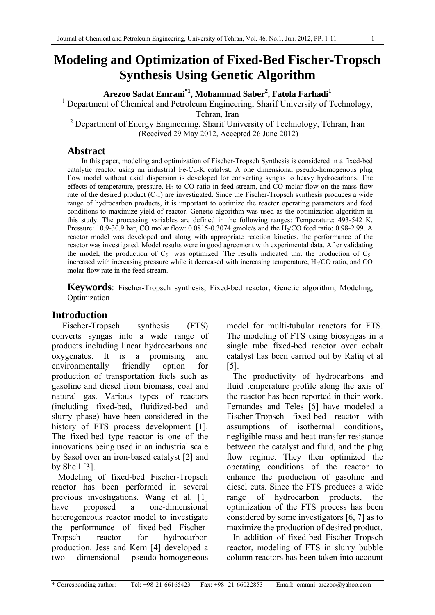# **Modeling and Optimization of Fixed-Bed Fischer-Tropsch Synthesis Using Genetic Algorithm**

**Arezoo Sadat Emrani\*1, Mohammad Saber2 , Fatola Farhadi<sup>1</sup>**

<sup>1</sup> Department of Chemical and Petroleum Engineering, Sharif University of Technology,

Tehran, Iran

<sup>2</sup> Department of Energy Engineering, Sharif University of Technology, Tehran, Iran (Received 29 May 2012, Accepted 26 June 2012)

### **Abstract**

 In this paper, modeling and optimization of Fischer-Tropsch Synthesis is considered in a fixed-bed catalytic reactor using an industrial Fe-Cu-K catalyst. A one dimensional pseudo-homogenous plug flow model without axial dispersion is developed for converting syngas to heavy hydrocarbons. The effects of temperature, pressure,  $H_2$  to CO ratio in feed stream, and CO molar flow on the mass flow rate of the desired product  $(C_{5+})$  are investigated. Since the Fischer-Tropsch synthesis produces a wide range of hydrocarbon products, it is important to optimize the reactor operating parameters and feed conditions to maximize yield of reactor. Genetic algorithm was used as the optimization algorithm in this study. The processing variables are defined in the following ranges: Temperature: 493-542 K, Pressure: 10.9-30.9 bar, CO molar flow: 0.0815-0.3074 gmole/s and the H<sub>2</sub>/CO feed ratio: 0.98-2.99. A reactor model was developed and along with appropriate reaction kinetics, the performance of the reactor was investigated. Model results were in good agreement with experimental data. After validating the model, the production of  $C_{5+}$  was optimized. The results indicated that the production of  $C_{5+}$ increased with increasing pressure while it decreased with increasing temperature,  $H<sub>2</sub>/CO$  ratio, and CO molar flow rate in the feed stream.

 **Keywords**: Fischer-Tropsch synthesis, Fixed-bed reactor, Genetic algorithm, Modeling, Optimization

# **Introduction**

 Fischer-Tropsch synthesis (FTS) converts syngas into a wide range of products including linear hydrocarbons and oxygenates. It is a promising and environmentally friendly option for production of transportation fuels such as gasoline and diesel from biomass, coal and natural gas. Various types of reactors (including fixed-bed, fluidized-bed and slurry phase) have been considered in the history of FTS process development [1]. The fixed-bed type reactor is one of the innovations being used in an industrial scale by Sasol over an iron-based catalyst [2] and by Shell [3].

Modeling of fixed-bed Fischer-Tropsch reactor has been performed in several previous investigations. Wang et al. [1] have proposed a one-dimensional heterogeneous reactor model to investigate the performance of fixed-bed Fischer-Tropsch reactor for hydrocarbon production. Jess and Kern [4] developed a two dimensional pseudo-homogeneous

model for multi-tubular reactors for FTS. The modeling of FTS using biosyngas in a single tube fixed-bed reactor over cobalt catalyst has been carried out by Rafiq et al [5].

The productivity of hydrocarbons and fluid temperature profile along the axis of the reactor has been reported in their work. Fernandes and Teles [6] have modeled a Fischer-Tropsch fixed-bed reactor with assumptions of isothermal conditions, negligible mass and heat transfer resistance between the catalyst and fluid, and the plug flow regime. They then optimized the operating conditions of the reactor to enhance the production of gasoline and diesel cuts. Since the FTS produces a wide range of hydrocarbon products, the optimization of the FTS process has been considered by some investigators [6, 7] as to maximize the production of desired product.

In addition of fixed-bed Fischer-Tropsch reactor, modeling of FTS in slurry bubble column reactors has been taken into account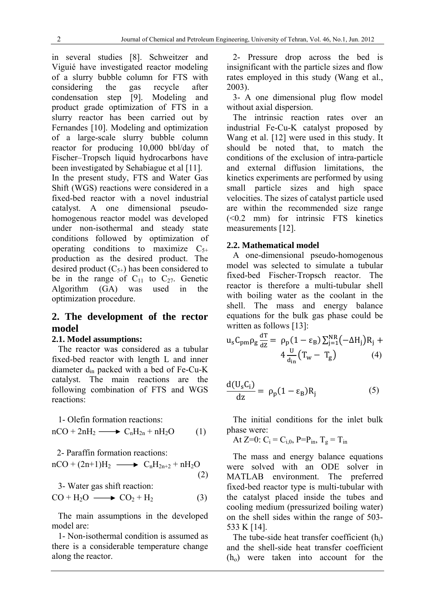in several studies [8]. Schweitzer and Viguié have investigated reactor modeling of a slurry bubble column for FTS with considering the gas recycle after condensation step [9]. Modeling and product grade optimization of FTS in a slurry reactor has been carried out by Fernandes [10]. Modeling and optimization of a large-scale slurry bubble column reactor for producing 10,000 bbl/day of Fischer–Tropsch liquid hydrocarbons have been investigated by Sehabiague et al [11].

In the present study, FTS and Water Gas Shift (WGS) reactions were considered in a fixed-bed reactor with a novel industrial catalyst. A one dimensional pseudohomogenous reactor model was developed under non-isothermal and steady state conditions followed by optimization of operating conditions to maximize  $C_{5+}$ production as the desired product. The desired product  $(C_{5+})$  has been considered to be in the range of  $C_{11}$  to  $C_{27}$ . Genetic Algorithm (GA) was used in the optimization procedure.

## **2. The development of the rector model**

#### **2.1. Model assumptions:**

The reactor was considered as a tubular fixed-bed reactor with length L and inner diameter din packed with a bed of Fe-Cu-K catalyst. The main reactions are the following combination of FTS and WGS reactions:

1- Olefin formation reactions:  $nCO + 2nH_2 \longrightarrow C_nH_{2n} + nH_2O$  (1)

2- Paraffin formation reactions:  
nCO + (2n+1)H<sub>2</sub> 
$$
\longrightarrow
$$
 C<sub>n</sub>H<sub>2n+2</sub> + nH<sub>2</sub>O (2)

3- Water gas shift reaction:

$$
CO + H_2O \longrightarrow CO_2 + H_2 \tag{3}
$$

The main assumptions in the developed model are:

1- Non-isothermal condition is assumed as there is a considerable temperature change along the reactor.

2- Pressure drop across the bed is insignificant with the particle sizes and flow rates employed in this study (Wang et al., 2003).

3- A one dimensional plug flow model without axial dispersion.

The intrinsic reaction rates over an industrial Fe-Cu-K catalyst proposed by Wang et al. [12] were used in this study. It should be noted that, to match the conditions of the exclusion of intra-particle and external diffusion limitations, the kinetics experiments are performed by using small particle sizes and high space velocities. The sizes of catalyst particle used are within the recommended size range (<0.2 mm) for intrinsic FTS kinetics measurements [12].

#### **2.2. Mathematical model**

A one-dimensional pseudo-homogenous model was selected to simulate a tubular fixed-bed Fischer-Tropsch reactor. The reactor is therefore a multi-tubular shell with boiling water as the coolant in the shell. The mass and energy balance equations for the bulk gas phase could be written as follows [13]:

$$
u_s C_{pm} \rho_g \frac{dT}{dz} = \rho_p (1 - \epsilon_B) \sum_{j=1}^{NR} (-\Delta H_j) R_j + 4 \frac{U}{d_{in}} (T_w - T_g)
$$
(4)

$$
\frac{d(U_s C_i)}{dz} = \rho_p (1 - \varepsilon_B) R_j \tag{5}
$$

The initial conditions for the inlet bulk phase were:

At Z=0: C<sub>i</sub> = C<sub>i,0</sub>, P=
$$
P_{in}
$$
, T<sub>g</sub> = T<sub>in</sub>

The mass and energy balance equations were solved with an ODE solver in MATLAB environment. The preferred fixed-bed reactor type is multi-tubular with the catalyst placed inside the tubes and cooling medium (pressurized boiling water) on the shell sides within the range of 503- 533 K [14].

The tube-side heat transfer coefficient (hi) and the shell-side heat transfer coefficient  $(h<sub>o</sub>)$  were taken into account for the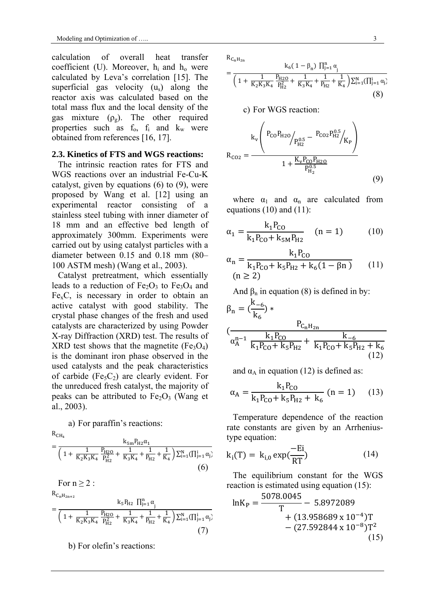calculation of overall heat transfer coefficient (U). Moreover,  $h_i$  and  $h_o$  were calculated by Leva's correlation [15]. The superficial gas velocity (us) along the reactor axis was calculated based on the total mass flux and the local density of the gas mixture  $(\rho_g)$ . The other required properties such as  $f_0$ ,  $f_i$  and  $k_w$  were obtained from references [16, 17].

#### **2.3. Kinetics of FTS and WGS reactions:**

The intrinsic reaction rates for FTS and WGS reactions over an industrial Fe-Cu-K catalyst, given by equations (6) to (9), were proposed by Wang et al. [12] using an experimental reactor consisting of a stainless steel tubing with inner diameter of 18 mm and an effective bed length of approximately 300mm. Experiments were carried out by using catalyst particles with a diameter between 0.15 and 0.18 mm (80– 100 ASTM mesh) (Wang et al., 2003).

Catalyst pretreatment, which essentially leads to a reduction of  $Fe<sub>2</sub>O<sub>3</sub>$  to  $Fe<sub>3</sub>O<sub>4</sub>$  and  $Fe<sub>x</sub>C$ , is necessary in order to obtain an active catalyst with good stability. The crystal phase changes of the fresh and used catalysts are characterized by using Powder X-ray Diffraction (XRD) test. The results of XRD test shows that the magnetite (Fe<sub>3</sub>O<sub>4</sub>) is the dominant iron phase observed in the used catalysts and the peak characteristics of carbide (Fe<sub>5</sub>C<sub>2</sub>) are clearly evident. For the unreduced fresh catalyst, the majority of peaks can be attributed to  $Fe<sub>2</sub>O<sub>3</sub>$  (Wang et al., 2003).

a) For paraffin's reactions:

 $R_{CH_4}$ 

 $R_{\text{max}}$ 

$$
= \frac{k_{5m}P_{H2}\alpha_1}{\left(1 + \frac{1}{K_2K_3K_4}\frac{P_{H2O}}{P_{H2}^2} + \frac{1}{K_3K_4} + \frac{1}{P_{H2}} + \frac{1}{K_4}\right)\sum_{i=1}^{N}(\prod_{j=1}^{i}\alpha_j)}\tag{6}
$$

For 
$$
n \geq 2
$$
:

$$
k_{5}P_{H2} \Pi_{j=1}^{n} \alpha_{j}
$$
\n
$$
= \frac{k_{5}P_{H2} \Pi_{j=1}^{n} \alpha_{j}}{\left(1 + \frac{1}{K_{2}K_{3}K_{4}} \frac{P_{H20}}{P_{H2}^{2}} + \frac{1}{K_{3}K_{4}} + \frac{1}{P_{H2}} + \frac{1}{K_{4}}\right) \sum_{i=1}^{N} (\Pi_{j=1}^{i} \alpha_{j})}
$$
\n(7)

b) For olefin's reactions:

 $R_{C_nH_{2n}}$ 

$$
= \frac{k_6 (1 - \beta_n) \prod_{j=1}^n \alpha_j}{\left(1 + \frac{1}{K_2 K_3 K_4} \frac{P_{H2O}}{P_{H2}^2} + \frac{1}{K_3 K_4} + \frac{1}{P_{H2}} + \frac{1}{K_4}\right) \sum_{i=1}^N (\prod_{j=1}^i \alpha_j)}\tag{8}
$$

c) For WGS reaction:

$$
R_{CO2} = \frac{k_v \left( \frac{P_{CO}P_{H2O}}{P_{H2}^{0.5}} - \frac{P_{CO2}P_{H2}^{0.5}}{P_{H2}^{0.5}} \right)}{1 + \frac{K_v P_{CO}P_{H2O}}{P_{H2}^{0.5}}}
$$
(9)

where  $\alpha_1$  and  $\alpha_n$  are calculated from equations  $(10)$  and  $(11)$ :

$$
\alpha_1 = \frac{k_1 P_{CO}}{k_1 P_{CO} + k_{5M} P_{H2}} \quad (n = 1)
$$
 (10)

$$
\alpha_{n} = \frac{k_{1}P_{CO}}{k_{1}P_{CO} + k_{5}P_{H2} + k_{6}(1 - \beta n)}
$$
 (11)  
(n \ge 2)

And  $\beta_n$  in equation (8) is defined in by:

$$
\beta_{n} = \left(\frac{k_{-6}}{k_{6}}\right) * \n\left(\frac{P_{C_{n}H_{2n}}}{\alpha_{A}^{n-1} \frac{k_{1}P_{CO}}{k_{1}P_{CO} + k_{5}P_{H2}} + \frac{k_{-6}}{k_{1}P_{CO} + k_{5}P_{H2} + k_{6}}}\right)
$$
\n(12)

and  $\alpha_A$  in equation (12) is defined as:

$$
\alpha_{A} = \frac{k_{1}P_{CO}}{k_{1}P_{CO} + k_{5}P_{H2} + k_{6}} \quad (n = 1)
$$
 (13)

Temperature dependence of the reaction rate constants are given by an Arrheniustype equation:

$$
k_{i}(T) = k_{i,0} \exp(\frac{-Ei}{RT})
$$
 (14)

The equilibrium constant for the WGS reaction is estimated using equation (15):

$$
ln K_{P} = \frac{5078.0045}{T} - 5.8972089
$$
  
+ (13.958689 x 10<sup>-4</sup>)T  
– (27.592844 x 10<sup>-8</sup>)T<sup>2</sup> (15)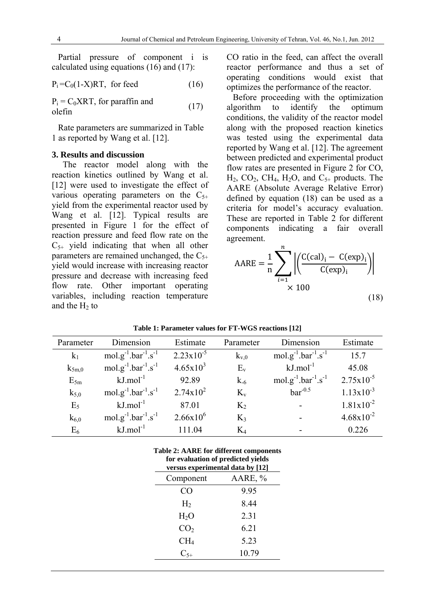Partial pressure of component i is calculated using equations (16) and (17):

 $P_i = C_0(1-X)RT$ , for feed (16)

 $P_i = C_0 XRT$ , for paraffin and (17) olefin

Rate parameters are summarized in Table 1 as reported by Wang et al. [12].

#### **3. Results and discussion**

 The reactor model along with the reaction kinetics outlined by Wang et al. [12] were used to investigate the effect of various operating parameters on the  $C_{5+}$ yield from the experimental reactor used by Wang et al. [12]. Typical results are presented in Figure 1 for the effect of reaction pressure and feed flow rate on the  $C_{5+}$  yield indicating that when all other parameters are remained unchanged, the  $C_{5+}$ yield would increase with increasing reactor pressure and decrease with increasing feed flow rate. Other important operating variables, including reaction temperature and the  $H_2$  to

CO ratio in the feed, can affect the overall reactor performance and thus a set of operating conditions would exist that optimizes the performance of the reactor.

Before proceeding with the optimization algorithm to identify the optimum conditions, the validity of the reactor model along with the proposed reaction kinetics was tested using the experimental data reported by Wang et al. [12]. The agreement between predicted and experimental product flow rates are presented in Figure 2 for CO,  $H_2$ ,  $CO_2$ ,  $CH_4$ ,  $H_2O$ , and  $C_{5+}$  products. The AARE (Absolute Average Relative Error) defined by equation (18) can be used as a criteria for model's accuracy evaluation. These are reported in Table 2 for different components indicating a fair overall agreement.

$$
AARE = \frac{1}{n} \sum_{i=1}^{n} \left| \left( \frac{C(cal)_i - C(exp)_i}{C(exp)_i} \right) \right|
$$
  
× 100 (18)

| Parameter      | Dimension                                               | Estimate              | Parameter | Dimension                    | Estimate              |
|----------------|---------------------------------------------------------|-----------------------|-----------|------------------------------|-----------------------|
| k <sub>1</sub> | $mol.g^{-1}.bar^{-1}.s^{-1}$                            | $2.23 \times 10^{-5}$ | $k_{v,0}$ | $mol.g^{-1}.bar^{-1}.s^{-1}$ | 15.7                  |
| $k_{5m,0}$     | $mol.g^{-1}.bar^{-1}.s^{-1}$                            | $4.65x10^{3}$         | $E_{v}$   | $kJ$ .mol $^{-1}$            | 45.08                 |
| $E_{5m}$       | $kJ$ .mol <sup>-1</sup>                                 | 92.89                 | $k_{-6}$  | $mol.g^{-1}.bar^{-1}.s^{-1}$ | $2.75 \times 10^{-5}$ |
| $k_{5,0}$      | $mol.g^{-1}.bar^{-1}.s^{-1}$                            | $2.74x10^2$           | $K_{v}$   | $bar^{-0.5}$                 | $1.13x10^{-3}$        |
| E <sub>5</sub> | $kJ$ .mol $^{-1}$                                       | 87.01                 | $K_2$     |                              | $1.81 \times 10^{-2}$ |
| $k_{6,0}$      | mol.g <sup>-1</sup> .bar <sup>-1</sup> .s <sup>-1</sup> | $2.66x10^{6}$         | $K_3$     |                              | $4.68 \times 10^{-2}$ |
| $E_6$          | $kJ$ .mol <sup>-1</sup>                                 | 111.04                | $\rm K_4$ |                              | 0.226                 |

**Table 1: Parameter values for FT-WGS reactions [12]**

| Table 2: AARE for different components |
|----------------------------------------|
| for evaluation of predicted yields     |

| versus experimental data by [12] |         |  |  |
|----------------------------------|---------|--|--|
| Component                        | AARE, % |  |  |
| CO                               | 9.95    |  |  |
| H <sub>2</sub>                   | 8.44    |  |  |
| $H_2O$                           | 2.31    |  |  |
| CO <sub>2</sub>                  | 6.21    |  |  |
| CH <sub>4</sub>                  | 5.23    |  |  |
| $C_{5+}$                         | 10.79   |  |  |
|                                  |         |  |  |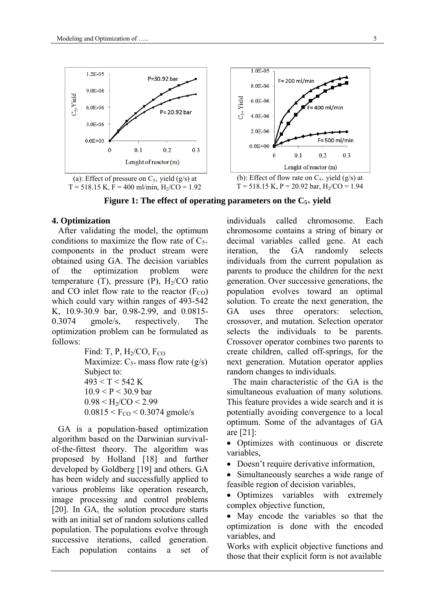

Figure 1: The effect of operating parameters on the  $C_{5+}$  yield

#### 4. Optimization

After validating the model, the optimum conditions to maximize the flow rate of  $C_{5+}$ components in the product stream were obtained using GA. The decision variables problem  $\alpha$ f the optimization were temperature (T), pressure (P),  $H_2/CO$  ratio and CO inlet flow rate to the reactor  $(F_{CO})$ which could vary within ranges of 493-542 K, 10.9-30.9 bar, 0.98-2.99, and 0.0815-0.3074 gmole/s, respectively. The optimization problem can be formulated as follows:

> Find: T, P,  $H<sub>2</sub>/CO$ ,  $F<sub>CO</sub>$ Maximize:  $C_{5+}$  mass flow rate (g/s) Subject to:  $493 < T < 542$  K  $10.9 < P < 30.9$  bar  $0.98 < H_2/CO < 2.99$  $0.0815 < F_{CO} < 0.3074$  gmole/s

GA is a population-based optimization algorithm based on the Darwinian survivalof-the-fittest theory. The algorithm was proposed by Holland [18] and further developed by Goldberg [19] and others. GA has been widely and successfully applied to various problems like operation research, image processing and control problems [20]. In GA, the solution procedure starts with an initial set of random solutions called population. The populations evolve through successive iterations, called generation. Each population contains a set  $\alpha$ f individuals called chromosome. Each chromosome contains a string of binary or decimal variables called gene. At each  $GA$ randomly *iteration.* the selects individuals from the current population as parents to produce the children for the next generation. Over successive generations, the population evolves toward an optimal solution. To create the next generation, the three operators: selection. **GA** uses crossover, and mutation. Selection operator selects the individuals to be parents. Crossover operator combines two parents to create children, called off-springs, for the next generation. Mutation operator applies random changes to individuals.

The main characteristic of the GA is the simultaneous evaluation of many solutions. This feature provides a wide search and it is potentially avoiding convergence to a local optimum. Some of the advantages of GA are  $[21]$ :

• Optimizes with continuous or discrete variables

• Doesn't require derivative information,

• Simultaneously searches a wide range of feasible region of decision variables.

• Optimizes variables with extremely complex objective function,

• May encode the variables so that the optimization is done with the encoded variables, and

Works with explicit objective functions and those that their explicit form is not available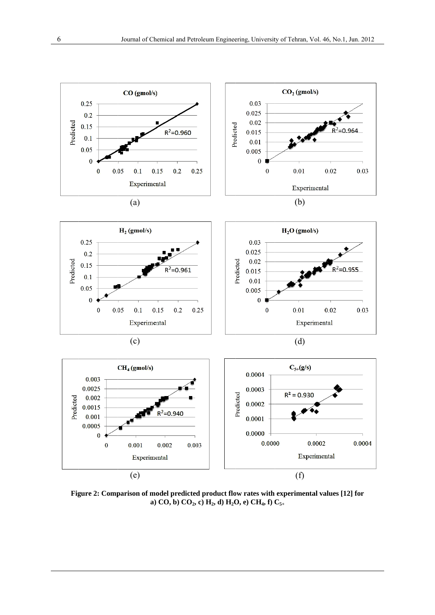

Figure 2: Comparison of model predicted product flow rates with experimental values [12] for a) CO, b) CO<sub>2</sub>, c) H<sub>2</sub>, d) H<sub>2</sub>O, e) CH<sub>4</sub>, f) C<sub>5+</sub>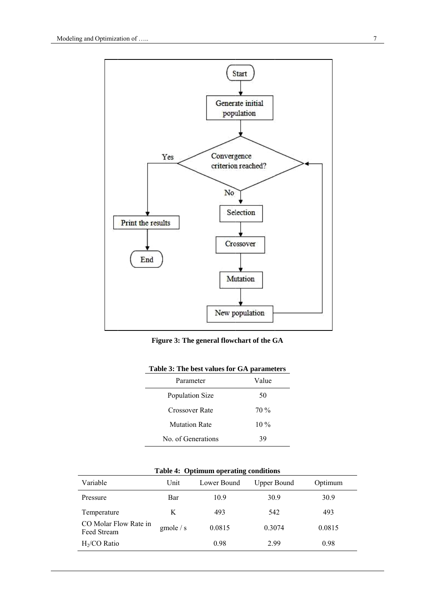

Figure 3: The general flowchart of the GA

| Parameter              | Value  |  |
|------------------------|--------|--|
| <b>Population Size</b> | 50     |  |
| Crossover Rate         | $70\%$ |  |
| <b>Mutation Rate</b>   | $10\%$ |  |
| No. of Generations     | 39     |  |

Table 3: The best values for GA parameters

| Table 4: Optimum operating conditions |
|---------------------------------------|
|---------------------------------------|

| Variable                             | Unit               | Lower Bound | Upper Bound | Optimum |
|--------------------------------------|--------------------|-------------|-------------|---------|
| Pressure                             | Bar                | 10.9        | 30.9        | 30.9    |
| Temperature                          | K                  | 493         | 542         | 493     |
| CO Molar Flow Rate in<br>Feed Stream | $\text{gmole} / s$ | 0.0815      | 0.3074      | 0.0815  |
| $H2/CO$ Ratio                        |                    | 0.98        | 299         | 0.98    |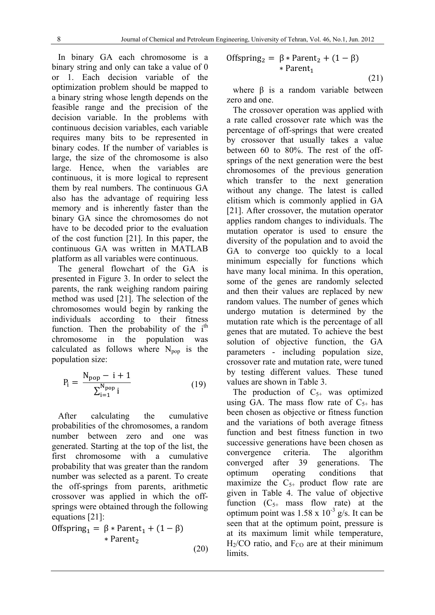In binary GA each chromosome is a binary string and only can take a value of 0 or 1. Each decision variable of the optimization problem should be mapped to a binary string whose length depends on the feasible range and the precision of the decision variable. In the problems with continuous decision variables, each variable requires many bits to be represented in binary codes. If the number of variables is large, the size of the chromosome is also large. Hence, when the variables are continuous, it is more logical to represent them by real numbers. The continuous GA also has the advantage of requiring less memory and is inherently faster than the binary GA since the chromosomes do not have to be decoded prior to the evaluation of the cost function [21]. In this paper, the continuous GA was written in MATLAB platform as all variables were continuous.

The general flowchart of the GA is presented in Figure 3. In order to select the parents, the rank weighing random pairing method was used [21]. The selection of the chromosomes would begin by ranking the individuals according to their fitness function. Then the probability of the  $i<sup>th</sup>$ chromosome in the population was calculated as follows where  $N_{\text{pop}}$  is the population size:

$$
P_{i} = \frac{N_{pop} - i + 1}{\sum_{i=1}^{N_{pop}} i}
$$
 (19)

After calculating the cumulative probabilities of the chromosomes, a random number between zero and one was generated. Starting at the top of the list, the first chromosome with a cumulative probability that was greater than the random number was selected as a parent. To create the off-springs from parents, arithmetic crossover was applied in which the offsprings were obtained through the following equations [21]:

Offspring<sub>1</sub> = 
$$
\beta * Parent_1 + (1 - \beta)
$$

\n\* Parent<sub>2</sub>

\n(20)

Offspring<sub>2</sub> = 
$$
\beta * Parent_2 + (1 - \beta)
$$

\n $* Parent_1$ 

where  $\beta$  is a random variable between zero and one.

(21)

The crossover operation was applied with a rate called crossover rate which was the percentage of off-springs that were created by crossover that usually takes a value between 60 to 80%. The rest of the offsprings of the next generation were the best chromosomes of the previous generation which transfer to the next generation without any change. The latest is called elitism which is commonly applied in GA [21]. After crossover, the mutation operator applies random changes to individuals. The mutation operator is used to ensure the diversity of the population and to avoid the GA to converge too quickly to a local minimum especially for functions which have many local minima. In this operation, some of the genes are randomly selected and then their values are replaced by new random values. The number of genes which undergo mutation is determined by the mutation rate which is the percentage of all genes that are mutated. To achieve the best solution of objective function, the GA parameters - including population size, crossover rate and mutation rate, were tuned by testing different values. These tuned values are shown in Table 3.

The production of  $C_{5+}$  was optimized using GA. The mass flow rate of  $C_{5+}$  has been chosen as objective or fitness function and the variations of both average fitness function and best fitness function in two successive generations have been chosen as convergence criteria. The algorithm converged after 39 generations. The optimum operating conditions that maximize the  $C_{5+}$  product flow rate are given in Table 4. The value of objective function  $(C_{5+}$  mass flow rate) at the optimum point was  $1.58 \times 10^{-3}$  g/s. It can be seen that at the optimum point, pressure is at its maximum limit while temperature,  $H<sub>2</sub>/CO$  ratio, and  $F<sub>CO</sub>$  are at their minimum limits.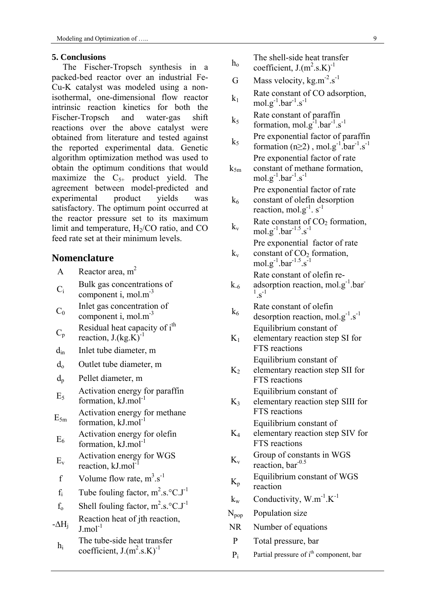#### **5. Conclusions**

 The Fischer-Tropsch synthesis in a packed-bed reactor over an industrial Fe-Cu-K catalyst was modeled using a nonisothermal, one-dimensional flow reactor intrinsic reaction kinetics for both the Fischer-Tropsch and water-gas shift reactions over the above catalyst were obtained from literature and tested against the reported experimental data. Genetic algorithm optimization method was used to obtain the optimum conditions that would maximize the  $C_{5+}$  product yield. The agreement between model-predicted and experimental product yields was satisfactory. The optimum point occurred at the reactor pressure set to its maximum limit and temperature,  $H<sub>2</sub>/CO$  ratio, and CO feed rate set at their minimum levels.

#### **Nomenclature**

A Reactor area,  $m<sup>2</sup>$ 

- $C_i$ Bulk gas concentrations of component i, mol. $m<sup>-3</sup>$
- $C<sub>0</sub>$ Inlet gas concentration of component i, mol.m-3
- $C_p$ Residual heat capacity of i<sup>th</sup> reaction,  $J.(kg.K)<sup>-1</sup>$
- din Inlet tube diameter, m
- $d_0$  Outlet tube diameter, m
- $d_p$  Pellet diameter, m
- $E<sub>5</sub>$ Activation energy for paraffin formation, kJ.mol<sup>-1</sup>
- $E_{5m}$ Activation energy for methane formation,  $kJ$ , mol<sup>-1</sup>
- $E_6$ Activation energy for olefin formation,  $kJ$  mol<sup>-1</sup>
- $E_v$ Activation energy for WGS reaction, kJ.mol<sup>-</sup>
- f Volume flow rate,  $m^3 \cdot s^{-1}$
- $f_i$  Tube fouling factor,  $m^2$ .s. °C.J<sup>-1</sup>
- $f_0$  Shell fouling factor, m<sup>2</sup>.s. °C.J<sup>-1</sup>
- -∆Hj Reaction heat of jth reaction, I.mol $^{-1}$
- $h_i$ The tube-side heat transfer coefficient,  $J.(m^2.s.K)^{-1}$
- $h_{o}$ The shell-side heat transfer coefficient,  $J.(m^2.s.K)^{-1}$
- G Mass velocity,  $kg.m^{-2}.s^{-1}$
- $k_1$ Rate constant of CO adsorption,  $mol.g^{-1}.bar^{-1}.s^{-1}$
- $k<sub>5</sub>$ Rate constant of paraffin formation, mol.g<sup>-1</sup>.bar<sup>-1</sup>.s<sup>-1</sup>
- $k<sub>5</sub>$ Pre exponential factor of paraffin formation  $(n \ge 2)$ , mol.g<sup>-1</sup>.bar<sup>-1</sup>.s<sup>-1</sup> Pre exponential factor of rate
- $k<sub>5m</sub>$ constant of methane formation,  $mol.g^{-1}.bar^{-1}.s^{-1}$
- $k<sub>6</sub>$ Pre exponential factor of rate constant of olefin desorption
	- reaction, mol.g<sup>-1</sup>.  $s^{-1}$
- $k_v$  Rate constant of CO<sub>2</sub> formation,<br>mol.g<sup>-1</sup>.bar<sup>-1.5</sup>.s<sup>-1</sup> Pre exponential factor of rate
- $k_v$ constant of  $CO<sub>2</sub>$  formation.  $mol.g^{-1}.bar^{1.5}.s^{-1}$

Rate constant of olefin re-  

$$
k_{-6}
$$
 *adsorption reaction*, mol.g<sup>-1</sup>.bar

$$
\begin{array}{cc}\n & \text{dissorption reaction, mor.} \\
1.5\n\end{array}
$$

- $k<sub>6</sub>$ Rate constant of olefin desorption reaction, mol.g<sup>-1</sup>.s<sup>-1</sup> Equilibrium constant of
- $K_1$ elementary reaction step SI for FTS reactions Equilibrium constant of
- $K<sub>2</sub>$ elementary reaction step SII for FTS reactions Equilibrium constant of
- $K<sub>3</sub>$ elementary reaction step SIII for FTS reactions Equilibrium constant of
- $K_4$ elementary reaction step SIV for FTS reactions
- $K_v$ Group of constants in WGS reaction, bar-0.5
- $K_p$ Equilibrium constant of WGS reaction
- $k_w$  Conductivity, W.m<sup>-1</sup>.K<sup>-1</sup>
- $N_{\text{pop}}$  Population size
- NR Number of equations
- P Total pressure, bar
- $P_i$  Partial pressure of i<sup>th</sup> component, bar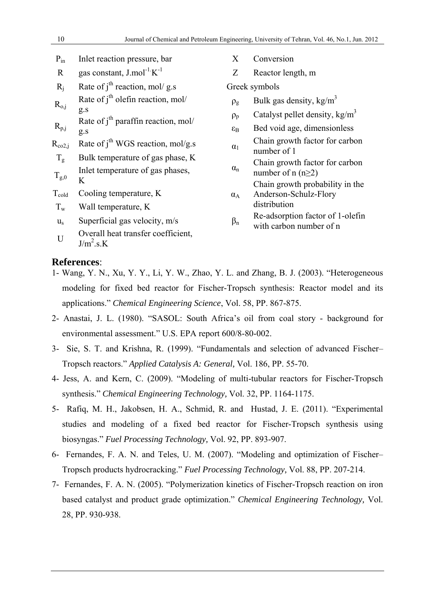| $P_{in}$<br>Inlet reaction pressure, bar |  |
|------------------------------------------|--|
|------------------------------------------|--|

- R gas constant,  $J$ .mol<sup>-1.</sup>K<sup>-1</sup>
- $R_i$  Rate of j<sup>th</sup> reaction, mol/ g.s
- $R_{o,i}$ Rate of  $j<sup>th</sup>$  olefin reaction, mol/ g.s
- $R_{p,i}$ Rate of  $j<sup>th</sup>$  paraffin reaction, mol/ g.s

 $R_{co2,i}$  Rate of j<sup>th</sup> WGS reaction, mol/g.s

- $T_g$  Bulk temperature of gas phase, K  $T_{\varphi,0}$ Inlet temperature of gas phases, K
- $T_{\text{cold}}$  Cooling temperature, K
- $T_w$  Wall temperature, K
- $u<sub>s</sub>$  Superficial gas velocity, m/s
- U Overall heat transfer coefficient,  $J/m<sup>2</sup>.s.K$
- X Conversion
- Z Reactor length, m

Greek symbols

- $\rho_g$  Bulk gas density, kg/m<sup>3</sup>
- $\rho_p$  Catalyst pellet density, kg/m<sup>3</sup>
- $\epsilon_B$  Bed void age, dimensionless
- $\alpha_1$ Chain growth factor for carbon number of 1
- $\alpha_n$ Chain growth factor for carbon number of n  $(n \geq 2)$
- Chain growth probability in the Anderson-Schulz-Flory
- $\alpha_A$ distribution Re-adsorption factor of 1-olefin
- $\beta_n$ with carbon number of n

#### **References**:

- 1- Wang, Y. N., Xu, Y. Y., Li, Y. W., Zhao, Y. L. and Zhang, B. J. (2003). "Heterogeneous modeling for fixed bed reactor for Fischer-Tropsch synthesis: Reactor model and its applications." *Chemical Engineering Science*, Vol. 58, PP. 867-875.
- 2- Anastai, J. L. (1980). "SASOL: South Africa's oil from coal story background for environmental assessment." U.S. EPA report 600/8-80-002.
- 3- Sie, S. T. and Krishna, R. (1999). "Fundamentals and selection of advanced Fischer– Tropsch reactors." *Applied Catalysis A: General,* Vol. 186, PP. 55-70.
- 4- Jess, A. and Kern, C. (2009). "Modeling of multi-tubular reactors for Fischer-Tropsch synthesis." *Chemical Engineering Technology,* Vol. 32, PP. 1164-1175.
- 5- Rafiq, M. H., Jakobsen, H. A., Schmid, R. and Hustad, J. E. (2011). "Experimental studies and modeling of a fixed bed reactor for Fischer-Tropsch synthesis using biosyngas." *Fuel Processing Technology,* Vol. 92, PP. 893-907.
- 6- Fernandes, F. A. N. and Teles, U. M. (2007). "Modeling and optimization of Fischer– Tropsch products hydrocracking." *Fuel Processing Technology,* Vol. 88, PP. 207-214.
- 7- Fernandes, F. A. N. (2005). "Polymerization kinetics of Fischer-Tropsch reaction on iron based catalyst and product grade optimization." *Chemical Engineering Technology,* Vol. 28, PP. 930-938.